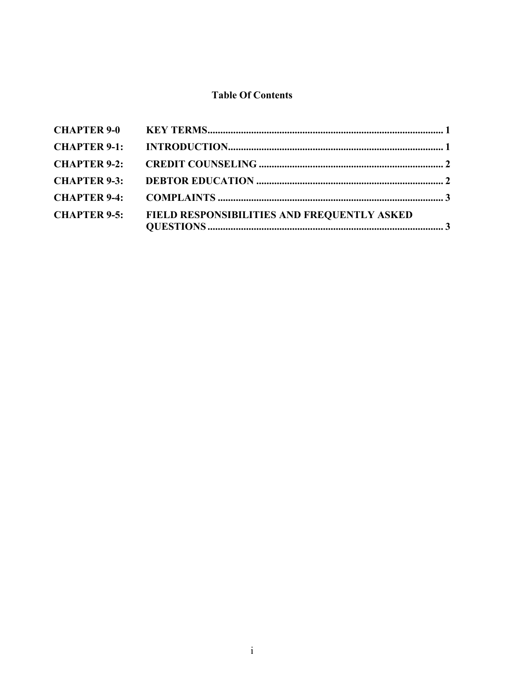# **Table Of Contents**

| <b>CHAPTER 9-5:</b> | <b>FIELD RESPONSIBILITIES AND FREQUENTLY ASKED</b> |  |
|---------------------|----------------------------------------------------|--|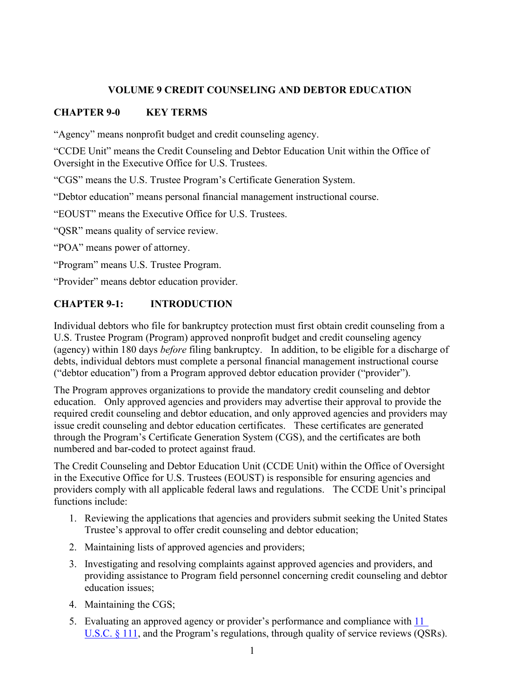### **VOLUME 9 CREDIT COUNSELING AND DEBTOR EDUCATION**

## <span id="page-1-0"></span>**CHAPTER 9-0 KEY TERMS**

"Agency" means nonprofit budget and credit counseling agency.

"CCDE Unit" means the Credit Counseling and Debtor Education Unit within the Office of Oversight in the Executive Office for U.S. Trustees.

"CGS" means the U.S. Trustee Program's Certificate Generation System.

"Debtor education" means personal financial management instructional course.

"EOUST" means the Executive Office for U.S. Trustees.

"QSR" means quality of service review.

"POA" means power of attorney.

"Program" means U.S. Trustee Program.

"Provider" means debtor education provider.

### <span id="page-1-1"></span>**CHAPTER 9-1: INTRODUCTION**

Individual debtors who file for bankruptcy protection must first obtain credit counseling from a U.S. Trustee Program (Program) approved nonprofit budget and credit counseling agency (agency) within 180 days *before* filing bankruptcy. In addition, to be eligible for a discharge of debts, individual debtors must complete a personal financial management instructional course ("debtor education") from a Program approved debtor education provider ("provider").

The Program approves organizations to provide the mandatory credit counseling and debtor education. Only approved agencies and providers may advertise their approval to provide the required credit counseling and debtor education, and only approved agencies and providers may issue credit counseling and debtor education certificates. These certificates are generated through the Program's Certificate Generation System (CGS), and the certificates are both numbered and bar-coded to protect against fraud.

The Credit Counseling and Debtor Education Unit (CCDE Unit) within the Office of Oversight in the Executive Office for U.S. Trustees (EOUST) is responsible for ensuring agencies and providers comply with all applicable federal laws and regulations. The CCDE Unit's principal functions include:

- 1. Reviewing the applications that agencies and providers submit seeking the United States Trustee's approval to offer credit counseling and debtor education;
- 2. Maintaining lists of approved agencies and providers;
- 3. Investigating and resolving complaints against approved agencies and providers, and providing assistance to Program field personnel concerning credit counseling and debtor education issues;
- 4. Maintaining the CGS;
- 5. Evaluating an approved agency or provider's performance and compliance with [11](https://www.gpo.gov/fdsys/pkg/USCODE-2015-title11/html/USCODE-2015-title11-chap1-sec111.htm)  [U.S.C. § 111,](https://www.gpo.gov/fdsys/pkg/USCODE-2015-title11/html/USCODE-2015-title11-chap1-sec111.htm) and the Program's regulations, through quality of service reviews (QSRs).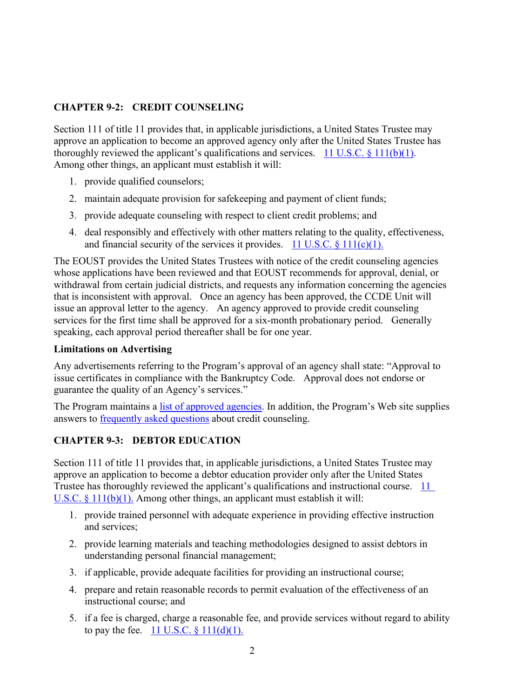### <span id="page-2-0"></span>**CHAPTER 9-2: CREDIT COUNSELING**

Section 111 of title 11 provides that, in applicable jurisdictions, a United States Trustee may approve an application to become an approved agency only after the United States Trustee has thoroughly reviewed the applicant's qualifications and services. 11 U.S.C.  $\S$  111(b)(1). Among other things, an applicant must establish it will:

- 1. provide qualified counselors;
- 2. maintain adequate provision for safekeeping and payment of client funds;
- 3. provide adequate counseling with respect to client credit problems; and
- 4. deal responsibly and effectively with other matters relating to the quality, effectiveness, and financial security of the services it provides. 11 U.S.C.  $\{111(c)(1)\}\$ .

The EOUST provides the United States Trustees with notice of the credit counseling agencies whose applications have been reviewed and that EOUST recommends for approval, denial, or withdrawal from certain judicial districts, and requests any information concerning the agencies that is inconsistent with approval. Once an agency has been approved, the CCDE Unit will issue an approval letter to the agency. An agency approved to provide credit counseling services for the first time shall be approved for a six-month probationary period. Generally speaking, each approval period thereafter shall be for one year.

#### **Limitations on Advertising**

Any advertisements referring to the Program's approval of an agency shall state: "Approval to issue certificates in compliance with the Bankruptcy Code. Approval does not endorse or guarantee the quality of an Agency's services."

The Program maintains a [list of approved agencies.](http://www.justice.gov/ust/eo/bapcpa/ccde/cc_approved.htm) In addition, the Program's Web site supplies answers to [frequently asked questions](http://www.justice.gov/ust/eo/bapcpa/ccde/cc_faqs.htm) about credit counseling.

#### <span id="page-2-1"></span>**CHAPTER 9-3: DEBTOR EDUCATION**

Section 111 of title 11 provides that, in applicable jurisdictions, a United States Trustee may approve an application to become a debtor education provider only after the United States Trustee has thoroughly reviewed the applicant's qualifications and instructional course. [11](https://www.gpo.gov/fdsys/pkg/USCODE-2015-title11/html/USCODE-2015-title11-chap1-sec111.htm)  [U.S.C. § 111\(b\)\(1\).](https://www.gpo.gov/fdsys/pkg/USCODE-2015-title11/html/USCODE-2015-title11-chap1-sec111.htm) Among other things, an applicant must establish it will:

- 1. provide trained personnel with adequate experience in providing effective instruction and services;
- 2. provide learning materials and teaching methodologies designed to assist debtors in understanding personal financial management;
- 3. if applicable, provide adequate facilities for providing an instructional course;
- 4. prepare and retain reasonable records to permit evaluation of the effectiveness of an instructional course; and
- 5. if a fee is charged, charge a reasonable fee, and provide services without regard to ability to pay the fee.  $11 \text{ U.S.C.} \$   $111(d)(1)$ .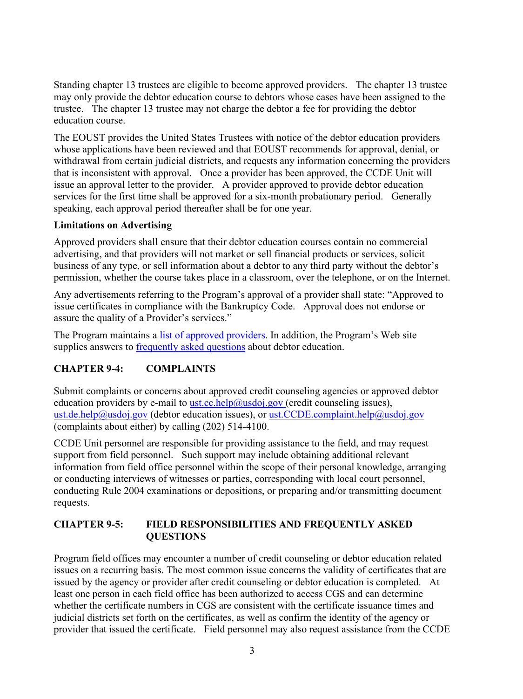Standing chapter 13 trustees are eligible to become approved providers. The chapter 13 trustee may only provide the debtor education course to debtors whose cases have been assigned to the trustee. The chapter 13 trustee may not charge the debtor a fee for providing the debtor education course.

The EOUST provides the United States Trustees with notice of the debtor education providers whose applications have been reviewed and that EOUST recommends for approval, denial, or withdrawal from certain judicial districts, and requests any information concerning the providers that is inconsistent with approval. Once a provider has been approved, the CCDE Unit will issue an approval letter to the provider. A provider approved to provide debtor education services for the first time shall be approved for a six-month probationary period. Generally speaking, each approval period thereafter shall be for one year.

#### **Limitations on Advertising**

Approved providers shall ensure that their debtor education courses contain no commercial advertising, and that providers will not market or sell financial products or services, solicit business of any type, or sell information about a debtor to any third party without the debtor's permission, whether the course takes place in a classroom, over the telephone, or on the Internet.

Any advertisements referring to the Program's approval of a provider shall state: "Approved to issue certificates in compliance with the Bankruptcy Code. Approval does not endorse or assure the quality of a Provider's services."

The Program maintains a [list of approved providers](http://www.justice.gov/ust/eo/bapcpa/ccde/de_approved.htm)[. I](http://www.justice.gov/ust/eo/bapcpa/ccde/cc_approved.htm%5d)n addition, the Program's Web site supplies answers to [frequently asked questions](http://www.justice.gov/ust/eo/bapcpa/ccde/de_faqs.htm) about debtor education.

### <span id="page-3-0"></span>**CHAPTER 9-4: COMPLAINTS**

Submit complaints or concerns about approved credit counseling agencies or approved debtor education providers by e-mail to [ust.cc.help@usdoj.gov \(](mailto:ust.cc.help@usdoj.gov,)credit counseling issues), [ust.de.help@usdoj.gov](mailto:ust.de.help@usdoj.gov,) (debtor education issues), or [ust.CCDE.complaint.help@usdoj.gov](mailto:ust.CCDE.complaint.help@usdoj.gov) (complaints about either) by calling (202) 514-4100.

CCDE Unit personnel are responsible for providing assistance to the field, and may request support from field personnel. Such support may include obtaining additional relevant information from field office personnel within the scope of their personal knowledge, arranging or conducting interviews of witnesses or parties, corresponding with local court personnel, conducting Rule 2004 examinations or depositions, or preparing and/or transmitting document requests.

### <span id="page-3-1"></span>**CHAPTER 9-5: FIELD RESPONSIBILITIES AND FREQUENTLY ASKED QUESTIONS**

Program field offices may encounter a number of credit counseling or debtor education related issues on a recurring basis. The most common issue concerns the validity of certificates that are issued by the agency or provider after credit counseling or debtor education is completed. At least one person in each field office has been authorized to access CGS and can determine whether the certificate numbers in CGS are consistent with the certificate issuance times and judicial districts set forth on the certificates, as well as confirm the identity of the agency or provider that issued the certificate. Field personnel may also request assistance from the CCDE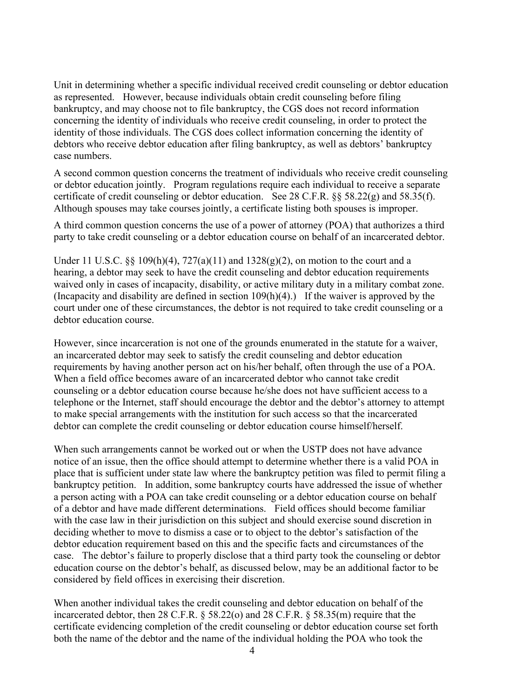Unit in determining whether a specific individual received credit counseling or debtor education as represented. However, because individuals obtain credit counseling before filing bankruptcy, and may choose not to file bankruptcy, the CGS does not record information concerning the identity of individuals who receive credit counseling, in order to protect the identity of those individuals. The CGS does collect information concerning the identity of debtors who receive debtor education after filing bankruptcy, as well as debtors' bankruptcy case numbers.

A second common question concerns the treatment of individuals who receive credit counseling or debtor education jointly. Program regulations require each individual to receive a separate certificate of credit counseling or debtor education. See 28 C.F.R. §§ 58.22(g) and 58.35(f). Although spouses may take courses jointly, a certificate listing both spouses is improper.

A third common question concerns the use of a power of attorney (POA) that authorizes a third party to take credit counseling or a debtor education course on behalf of an incarcerated debtor.

Under [11](https://www.gpo.gov/fdsys/pkg/USCODE-2015-title11/html/USCODE-2015-title11-chap1-sec111.htm) U.S.C. §§ 109(h)(4),  $727(a)(11)$  and  $1328(g)(2)$ , on motion to the court and a hearing, a debtor may [seek to have the credit counseling and](https://www.gpo.gov/fdsys/pkg/USCODE-2015-title11/html/USCODE-2015-title11-chap1-sec111.htm) debtor education requirements waived only [in cases of incapacity, disability, or active military duty](https://www.gpo.gov/fdsys/pkg/USCODE-2015-title11/html/USCODE-2015-title11-chap1-sec111.htm) in a military combat zone. (Incapacity and disability are defined in section  $109(h)(4)$ ). If the waiver is approved by the court under one of these circumstances, the debtor is not required to take credit counseling or a debtor education course.

However, since incarceration is not one of the grounds enumerated in the statute for a waiver, an incarcerated debtor may seek to satisfy the credit counseling and debtor education requirements by having another person act on his/her behalf, often through the use of a POA. When a field office becomes aware of an incarcerated debtor who cannot take credit counseling or a debtor education course because he/she does not have sufficient access to a telephone or the Internet, staff should encourage the debtor and the debtor's attorney to attempt to make special arrangements with the institution for such access so that the incarcerated debtor can complete the credit counseling or debtor education course himself/herself.

When such arrangements cannot be worked out or when the USTP does not have advance notice of an issue, then the office should attempt to determine whether there is a valid POA in place that is sufficient under state law where the bankruptcy petition was filed to permit filing a bankruptcy petition. In addition, some bankruptcy courts have addressed the issue of whether a person acting with a POA can take credit counseling or a debtor education course on behalf of a debtor and have made different determinations. Field offices should become familiar with the case law in their jurisdiction on this subject and should exercise sound discretion in deciding whether to move to dismiss a case or to object to the debtor's satisfaction of the debtor education requirement based on this and the specific facts and circumstances of the case. The debtor's failure to properly disclose that a third party took the counseling or debtor education course on the debtor's behalf, as discussed below, may be an additional factor to be considered by field offices in exercising their discretion.

When another individual takes the credit counseling and debtor education on behalf of the incarcerated debtor, then 28 C.F.R. § 58.22(o) and 28 C.F.R. § 58.35(m) require that the certificate evidencing completion of the credit counseling or debtor education course set forth both the name of the debtor and the name of the individual holding the POA who took the